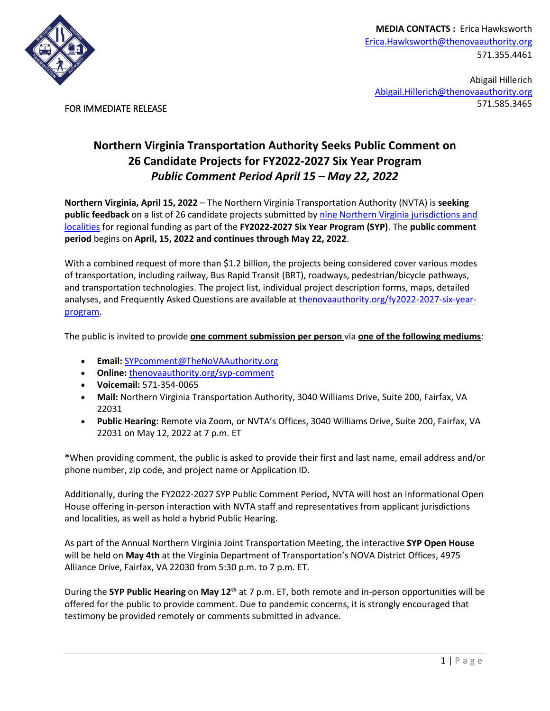

**MEDIA CONTACTS :** Erica Hawksworth [Erica.Hawksworth@thenovaauthority.org](mailto:Erica.Hawksworth@thenovaauthority.org) 571.355.4461

Abigail Hillerich [Abigail.Hillerich@thenovaauthority.org](mailto:Abigail.Hillerich@thenovaauthority.org) 571.585.3465

FOR IMMEDIATE RELEASE

## **Northern Virginia Transportation Authority Seeks Public Comment on 26 Candidate Projects for FY2022-2027 Six Year Program** *Public Comment Period April 15 – May 22, 2022*

**Northern Virginia, April 15, 2022** – The Northern Virginia Transportation Authority (NVTA) is **seeking public feedback** on a list of 26 candidate projects submitted by [nine Northern Virginia jurisdictions and](https://thenovaauthority.org/wp-content/uploads/2022/04/Breakout-of-SYP-Candidate-Projects-and-Totals.png)  [localities](https://thenovaauthority.org/wp-content/uploads/2022/04/Breakout-of-SYP-Candidate-Projects-and-Totals.png) for regional funding as part of the **FY2022-2027 Six Year Program (SYP)**. The **public comment period** begins on **April, 15, 2022 and continues through May 22, 2022**.

With a combined request of more than \$1.2 billion, the projects being considered cover various modes of transportation, including railway, Bus Rapid Transit (BRT), roadways, pedestrian/bicycle pathways, and transportation technologies. The project list, individual project description forms, maps, detailed analyses, and Frequently Asked Questions are available at [thenovaauthority.org/fy2022-2027-six-year](https://thenovaauthority.org/fy2022-2027-six-year-program/)[program.](https://thenovaauthority.org/fy2022-2027-six-year-program/)

The public is invited to provide **one comment submission per person** via **one of the following mediums**:

- **Email:** [SYPcomment@TheNoVAAuthority.org](mailto:SYPcomment@TheNoVAAuthority.org)
- **Online:** [thenovaauthority.org/syp-comment](https://thenovaauthority.org/SYP-comment/)
- **Voicemail:** 571-354-0065
- **Mail:** Northern Virginia Transportation Authority, 3040 Williams Drive, Suite 200, Fairfax, VA 22031
- **Public Hearing:** Remote via Zoom, or NVTA's Offices, 3040 Williams Drive, Suite 200, Fairfax, VA 22031 on May 12, 2022 at 7 p.m. ET

**\***When providing comment, the public is asked to provide their first and last name, email address and/or phone number, zip code, and project name or Application ID.

Additionally, during the FY2022-2027 SYP Public Comment Period**,** NVTA will host an informational Open House offering in-person interaction with NVTA staff and representatives from applicant jurisdictions and localities, as well as hold a hybrid Public Hearing.

As part of the Annual Northern Virginia Joint Transportation Meeting, the interactive **SYP Open House** will be held on **May 4th** at the Virginia Department of Transportation's NOVA District Offices, 4975 Alliance Drive, Fairfax, VA 22030 from 5:30 p.m. to 7 p.m. ET.

During the **SYP Public Hearing** on **May 12th** at 7 p.m. ET, both remote and in-person opportunities will be offered for the public to provide comment. Due to pandemic concerns, it is strongly encouraged that testimony be provided remotely or comments submitted in advance.